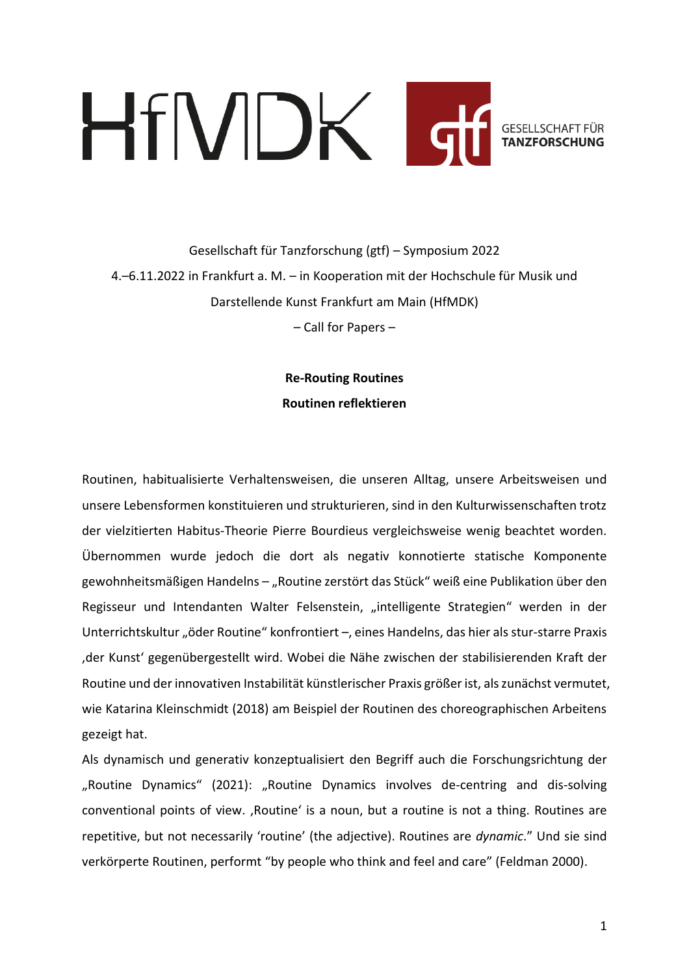# HfMDK I **GESELLSCHAFT FÜR TANZFORSCHI**

Gesellschaft für Tanzforschung (gtf) – Symposium 2022 4.–6.11.2022 in Frankfurt a. M. – in Kooperation mit der Hochschule für Musik und Darstellende Kunst Frankfurt am Main (HfMDK)

– Call for Papers –

**Re-Routing Routines Routinen reflektieren**

Routinen, habitualisierte Verhaltensweisen, die unseren Alltag, unsere Arbeitsweisen und unsere Lebensformen konstituieren und strukturieren, sind in den Kulturwissenschaften trotz der vielzitierten Habitus-Theorie Pierre Bourdieus vergleichsweise wenig beachtet worden. Übernommen wurde jedoch die dort als negativ konnotierte statische Komponente gewohnheitsmäßigen Handelns - "Routine zerstört das Stück" weiß eine Publikation über den Regisseur und Intendanten Walter Felsenstein, "intelligente Strategien" werden in der Unterrichtskultur "öder Routine" konfrontiert –, eines Handelns, das hier als stur-starre Praxis 'der Kunst' gegenübergestellt wird. Wobei die Nähe zwischen der stabilisierenden Kraft der Routine und der innovativen Instabilität künstlerischer Praxis größer ist, als zunächst vermutet, wie Katarina Kleinschmidt (2018) am Beispiel der Routinen des choreographischen Arbeitens gezeigt hat.

Als dynamisch und generativ konzeptualisiert den Begriff auch die Forschungsrichtung der "Routine Dynamics" (2021): "Routine Dynamics involves de-centring and dis-solving conventional points of view. , Routine' is a noun, but a routine is not a thing. Routines are repetitive, but not necessarily 'routine' (the adjective). Routines are *dynamic*." Und sie sind verkörperte Routinen, performt "by people who think and feel and care" (Feldman 2000).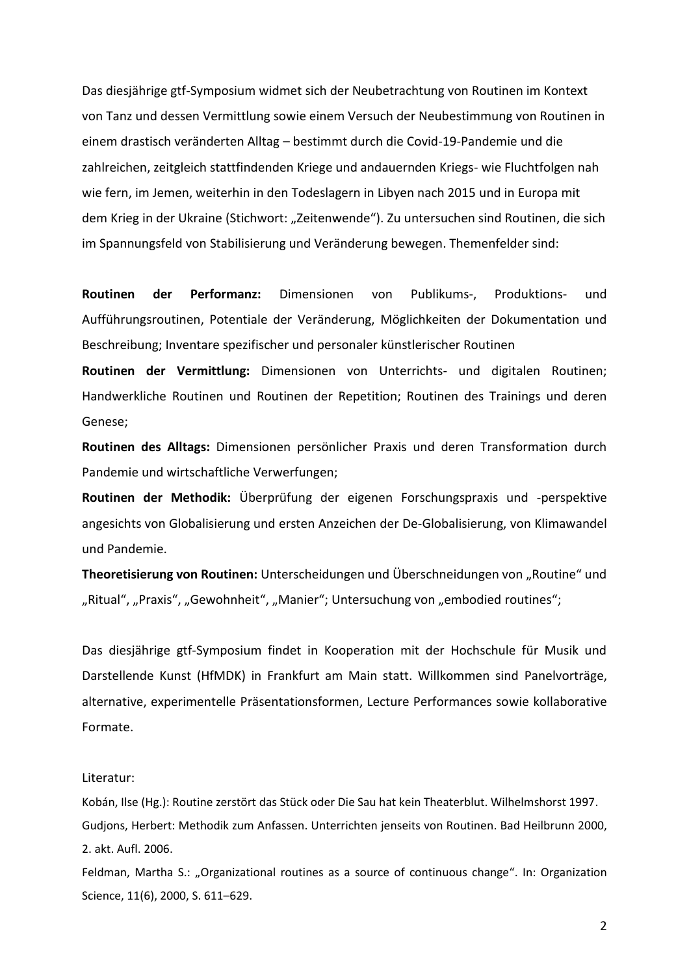Das diesjährige gtf-Symposium widmet sich der Neubetrachtung von Routinen im Kontext von Tanz und dessen Vermittlung sowie einem Versuch der Neubestimmung von Routinen in einem drastisch veränderten Alltag – bestimmt durch die Covid-19-Pandemie und die zahlreichen, zeitgleich stattfindenden Kriege und andauernden Kriegs- wie Fluchtfolgen nah wie fern, im Jemen, weiterhin in den Todeslagern in Libyen nach 2015 und in Europa mit dem Krieg in der Ukraine (Stichwort: "Zeitenwende"). Zu untersuchen sind Routinen, die sich im Spannungsfeld von Stabilisierung und Veränderung bewegen. Themenfelder sind:

**Routinen der Performanz:** Dimensionen von Publikums-, Produktions- und Aufführungsroutinen, Potentiale der Veränderung, Möglichkeiten der Dokumentation und Beschreibung; Inventare spezifischer und personaler künstlerischer Routinen

**Routinen der Vermittlung:** Dimensionen von Unterrichts- und digitalen Routinen; Handwerkliche Routinen und Routinen der Repetition; Routinen des Trainings und deren Genese;

**Routinen des Alltags:** Dimensionen persönlicher Praxis und deren Transformation durch Pandemie und wirtschaftliche Verwerfungen;

**Routinen der Methodik:** Überprüfung der eigenen Forschungspraxis und -perspektive angesichts von Globalisierung und ersten Anzeichen der De-Globalisierung, von Klimawandel und Pandemie.

**Theoretisierung von Routinen:** Unterscheidungen und Überschneidungen von "Routine" und "Ritual", "Praxis", "Gewohnheit", "Manier"; Untersuchung von "embodied routines";

Das diesjährige gtf-Symposium findet in Kooperation mit der Hochschule für Musik und Darstellende Kunst (HfMDK) in Frankfurt am Main statt. Willkommen sind Panelvorträge, alternative, experimentelle Präsentationsformen, Lecture Performances sowie kollaborative Formate.

## Literatur:

Kobán, Ilse (Hg.): Routine zerstört das Stück oder Die Sau hat kein Theaterblut. Wilhelmshorst 1997. Gudjons, Herbert: Methodik zum Anfassen. Unterrichten jenseits von Routinen. Bad Heilbrunn 2000, 2. akt. Aufl. 2006.

Feldman, Martha S.: "Organizational routines as a source of continuous change". In: Organization Science, 11(6), 2000, S. 611–629.

2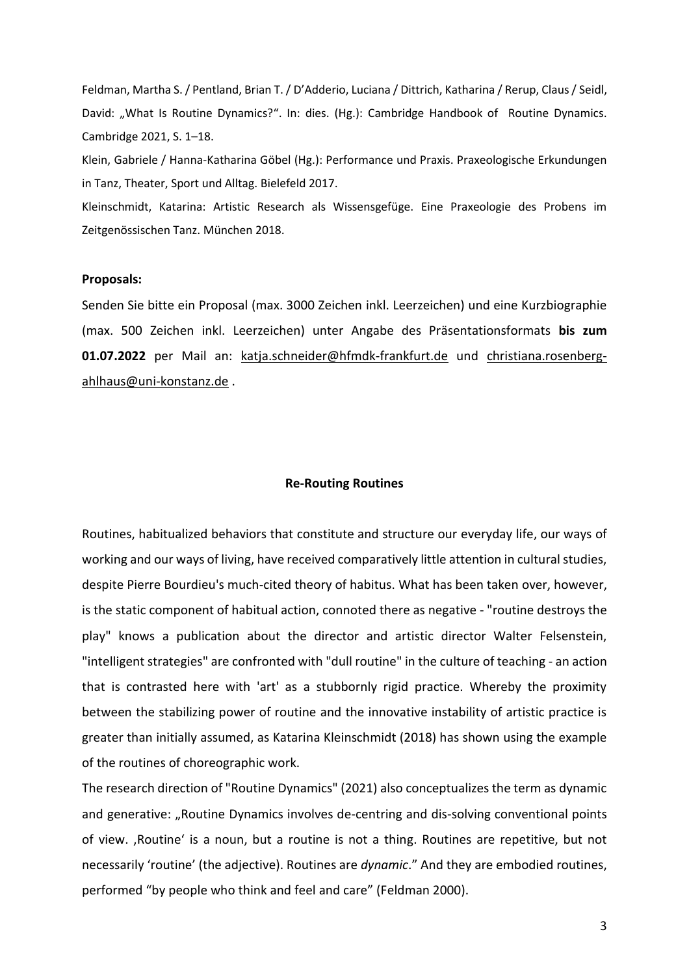Feldman, Martha S. / Pentland, Brian T. / D'Adderio, Luciana / Dittrich, Katharina / Rerup, Claus / Seidl, David: "What Is Routine Dynamics?". In: dies. (Hg.): Cambridge Handbook of Routine Dynamics. Cambridge 2021, S. 1–18.

Klein, Gabriele / Hanna-Katharina Göbel (Hg.): Performance und Praxis. Praxeologische Erkundungen in Tanz, Theater, Sport und Alltag. Bielefeld 2017.

Kleinschmidt, Katarina: Artistic Research als Wissensgefüge. Eine Praxeologie des Probens im Zeitgenössischen Tanz. München 2018.

#### **Proposals:**

Senden Sie bitte ein Proposal (max. 3000 Zeichen inkl. Leerzeichen) und eine Kurzbiographie (max. 500 Zeichen inkl. Leerzeichen) unter Angabe des Präsentationsformats **bis zum 01.07.2022** per Mail an: [katja.schneider@hfmdk-frankfurt.de](mailto:katja.schneider@hfmdk-frankfurt.de) und [christiana.rosenberg](mailto:christiana.rosenberg-ahlhaus@uni-konstanz.de)[ahlhaus@uni-konstanz.de](mailto:christiana.rosenberg-ahlhaus@uni-konstanz.de) .

#### **Re-Routing Routines**

Routines, habitualized behaviors that constitute and structure our everyday life, our ways of working and our ways of living, have received comparatively little attention in cultural studies, despite Pierre Bourdieu's much-cited theory of habitus. What has been taken over, however, is the static component of habitual action, connoted there as negative - "routine destroys the play" knows a publication about the director and artistic director Walter Felsenstein, "intelligent strategies" are confronted with "dull routine" in the culture of teaching - an action that is contrasted here with 'art' as a stubbornly rigid practice. Whereby the proximity between the stabilizing power of routine and the innovative instability of artistic practice is greater than initially assumed, as Katarina Kleinschmidt (2018) has shown using the example of the routines of choreographic work.

The research direction of "Routine Dynamics" (2021) also conceptualizes the term as dynamic and generative: "Routine Dynamics involves de-centring and dis-solving conventional points of view. , Routine' is a noun, but a routine is not a thing. Routines are repetitive, but not necessarily 'routine' (the adjective). Routines are *dynamic*." And they are embodied routines, performed "by people who think and feel and care" (Feldman 2000).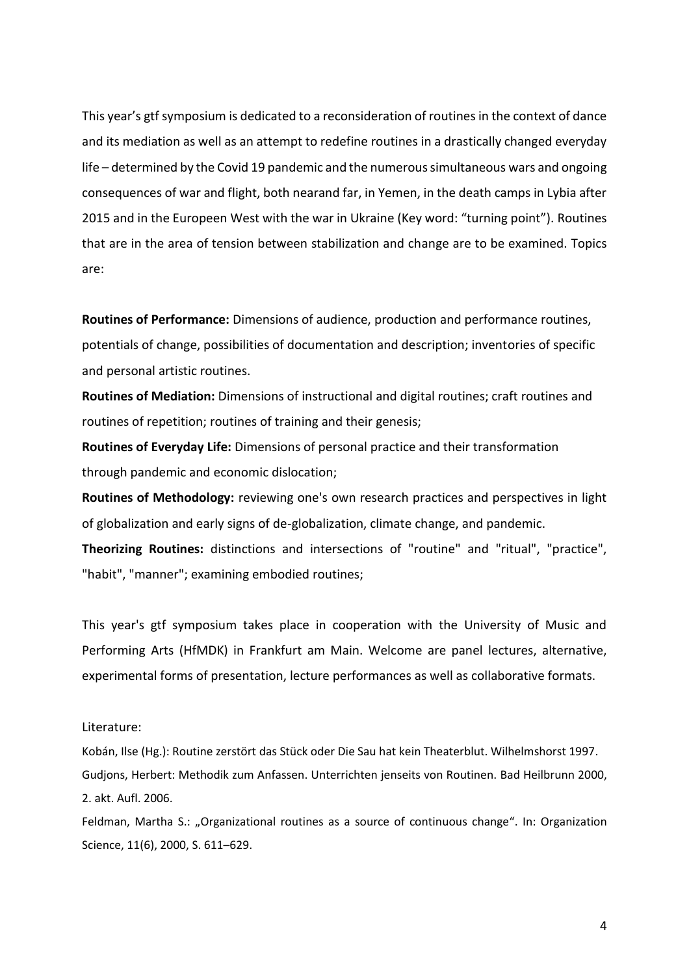This year's gtf symposium is dedicated to a reconsideration of routines in the context of dance and its mediation as well as an attempt to redefine routines in a drastically changed everyday life – determined by the Covid 19 pandemic and the numerous simultaneous wars and ongoing consequences of war and flight, both nearand far, in Yemen, in the death camps in Lybia after 2015 and in the Europeen West with the war in Ukraine (Key word: "turning point"). Routines that are in the area of tension between stabilization and change are to be examined. Topics are:

**Routines of Performance:** Dimensions of audience, production and performance routines, potentials of change, possibilities of documentation and description; inventories of specific and personal artistic routines.

**Routines of Mediation:** Dimensions of instructional and digital routines; craft routines and routines of repetition; routines of training and their genesis;

**Routines of Everyday Life:** Dimensions of personal practice and their transformation through pandemic and economic dislocation;

**Routines of Methodology:** reviewing one's own research practices and perspectives in light of globalization and early signs of de-globalization, climate change, and pandemic.

**Theorizing Routines:** distinctions and intersections of "routine" and "ritual", "practice", "habit", "manner"; examining embodied routines;

This year's gtf symposium takes place in cooperation with the University of Music and Performing Arts (HfMDK) in Frankfurt am Main. Welcome are panel lectures, alternative, experimental forms of presentation, lecture performances as well as collaborative formats.

## Literature:

Kobán, Ilse (Hg.): Routine zerstört das Stück oder Die Sau hat kein Theaterblut. Wilhelmshorst 1997. Gudjons, Herbert: Methodik zum Anfassen. Unterrichten jenseits von Routinen. Bad Heilbrunn 2000, 2. akt. Aufl. 2006.

Feldman, Martha S.: "Organizational routines as a source of continuous change". In: Organization Science, 11(6), 2000, S. 611–629.